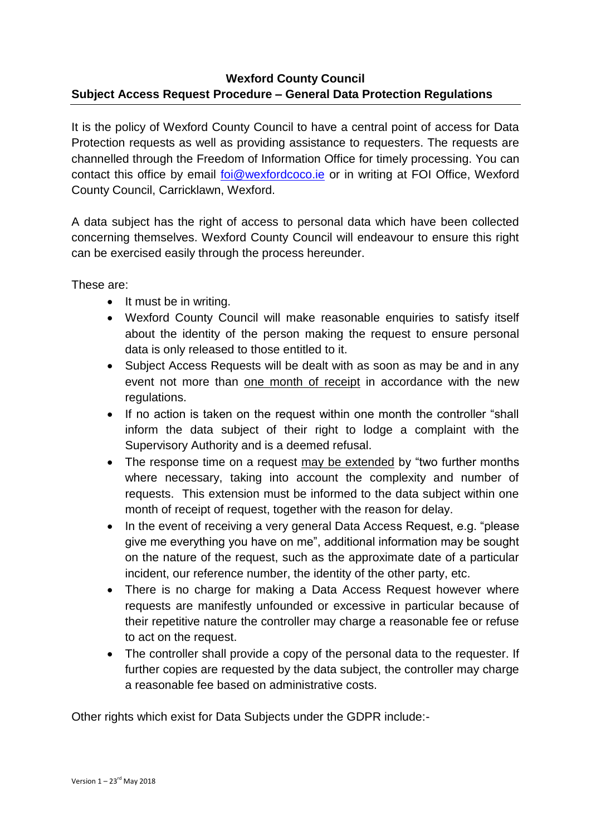## **Wexford County Council Subject Access Request Procedure – General Data Protection Regulations**

It is the policy of Wexford County Council to have a central point of access for Data Protection requests as well as providing assistance to requesters. The requests are channelled through the Freedom of Information Office for timely processing. You can contact this office by email [foi@wexfordcoco.ie](mailto:foi@wexfordcoco.ie) or in writing at FOI Office, Wexford County Council, Carricklawn, Wexford.

A data subject has the right of access to personal data which have been collected concerning themselves. Wexford County Council will endeavour to ensure this right can be exercised easily through the process hereunder.

These are:

- $\bullet$  It must be in writing.
- Wexford County Council will make reasonable enquiries to satisfy itself about the identity of the person making the request to ensure personal data is only released to those entitled to it.
- Subject Access Requests will be dealt with as soon as may be and in any event not more than one month of receipt in accordance with the new regulations.
- If no action is taken on the request within one month the controller "shall inform the data subject of their right to lodge a complaint with the Supervisory Authority and is a deemed refusal.
- The response time on a request may be extended by "two further months where necessary, taking into account the complexity and number of requests. This extension must be informed to the data subject within one month of receipt of request, together with the reason for delay.
- In the event of receiving a very general Data Access Request, e.g. "please" give me everything you have on me", additional information may be sought on the nature of the request, such as the approximate date of a particular incident, our reference number, the identity of the other party, etc.
- There is no charge for making a Data Access Request however where requests are manifestly unfounded or excessive in particular because of their repetitive nature the controller may charge a reasonable fee or refuse to act on the request.
- The controller shall provide a copy of the personal data to the requester. If further copies are requested by the data subject, the controller may charge a reasonable fee based on administrative costs.

Other rights which exist for Data Subjects under the GDPR include:-